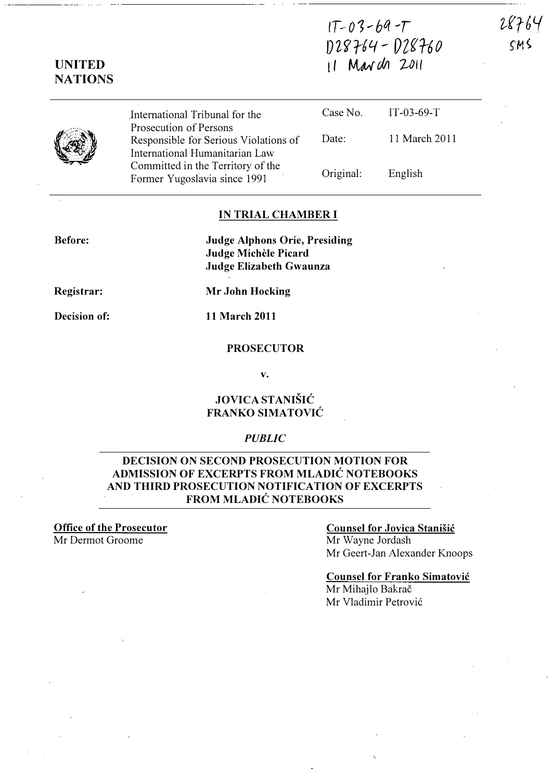# $1T-03-69-T$ D28764 - D28760  $11$  March 2011

.International Tribunal for the Prosecution of Persons Responsible for Serious Violations of International Humanitarian Law Committed in the Territory of the Former Yugoslavia since 1991 Case No. Date: Original: IT-03-69-T 11 March 2011 English

### IN TRIAL CHAMBER I

Judge Alphons Orie, Presiding Judge Michèle Picard Judge Elizabeth Gwaunza

Registrar:

Before:

Decision of: 11 March 2011

Mr John Hocking

#### PROSECUTOR

v.

### JOVICA STANISIC FRANKO SIMATOVIC

### **PUBLIC**

### DECISION ON SECOND PROSECUTION MOTION FOR ADMISSION OF EXCERPTS FROM MLADIC NOTEBOOKS AND THIRD PROSECUTION NOTIFICATION OF EXCERPTS FROM MLADIC NOTEBOOKS

Office of the Prosecutor Mr Dermot Groome

# Counsel for Jovica Stanisic

Mr Wayne Jordash Mr Geert-Jan Alexander Knoops

Counsel for Franko Simatovic Mr Mihajlo Bakrač Mr Vladimir Petrovi6



UNITED

# **NATIONS**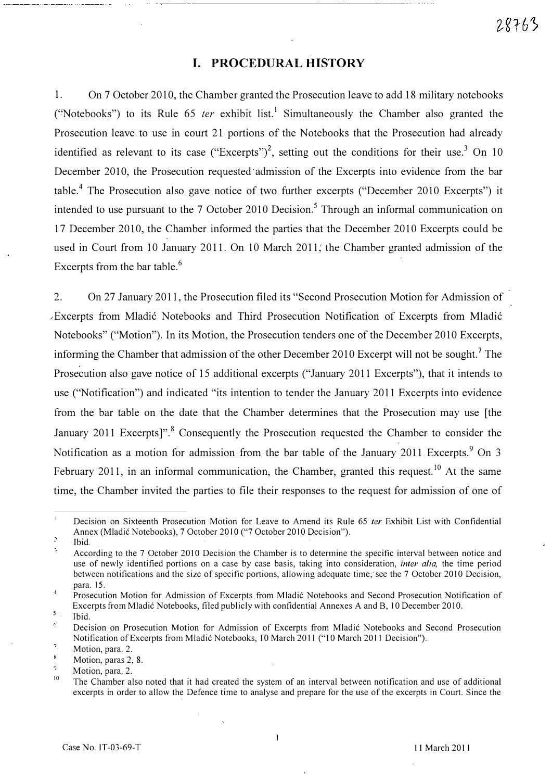# I. PROCEDURAL HISTORY

1. On 7 October 2010, the Chamber granted the Prosecution leave to add 18 military notebooks ("Notebooks") to its Rule 65 *ter* exhibit list.<sup>1</sup> Simultaneously the Chamber also granted the Prosecution leave to use in court 21 portions of the Notebooks that the Prosecution had already identified as relevant to its case ("Excerpts")<sup>2</sup>, setting out the conditions for their use.<sup>3</sup> On 10 December 2010, the Prosecution requested admission of the Excerpts into evidence from the bar table.<sup>4</sup> The Prosecution also gave notice of two further excerpts ("December 2010 Excerpts") it intended to use pursuant to the  $7$  October 2010 Decision.<sup>5</sup> Through an informal communication on 17 December 2010, the Chamber informed the parties that the December 2010 Excerpts could be used in Court from 10 January 2011. On 10 March 2011; the Chamber granted admission of the Excerpts from the bar table. $<sup>6</sup>$ </sup>

2. On 27 January 2011, the Prosecution filed its "Second Prosecution Motion fer Admission of \_\_\_ Excerpts from Mladi6 Notebooks and Third Prosecution Notification of Excerpts from Mladi6 Notebooks" ("Motion"). In its Motion, the Prosecution tenders one of the December 2010 Excerpts, informing the Chamber that admission of the other December 2010 Excerpt will not be sought.<sup>7</sup> The Prosecution also gave notice of 15 additional excerpts ("January 2011 Excerpts"), that it intends to use ("Notification") and indicated "its intention to tender the January 2011 Excerpts into evidence from the bar table on the date that the Chamber determines that the Prosecution may use [the January 2011 Excerpts]".<sup>8</sup> Consequently the Prosecution requested the Chamber to consider the Notification as a motion for admission from the bar table of the January 2011 Excerpts.<sup>9</sup> On 3 February 2011, in an informal communication, the Chamber, granted this request.<sup>10</sup> At the same time, the Chamber invited the parties to file their responses to the request for admission of one of

Decision on Sixteenth Prosecution Motion for Leave to Amend its Rule 65 ter Exhibit List with Confidential Annex (Mladic Notebooks), 7 October 2010 ("7 October 2010 Decision").

 $\overline{2}$ Ibid.

According to the 7 October 2010 Decision the Chamber is to determine the specific interval between notice and use of newly identified portions on a case by case basis, taking into consideration, *inter alia*, the time period between notifications and the size of specific portions, allowing adequate time; see the 7 October 2010 Decision, para. 15.  $\Lambda$ 

Prosecution Motion for Admission of Excerpts from Mladic Notebooks and Second Prosecution Notification of Excerpts from Mladić Notebooks, filed publicly with confidential Annexes A and B, 10 December 2010.

 $5<sub>1</sub>$ Ibid.

Decision on Prosecution Motion for Admission of Excerpts from Mladic Notebooks and Second Prosecution Notification of Excerpts from Mladić Notebooks, 10 March 2011 ("10 March 2011 Decision").

 $\overline{1}$ Motion, para. 2.

K. Motion, paras 2, 8.

ģ. Motion, para. 2,

<sup>10</sup>  The Chamber also noted that it had created the system of an interval between notification and use of additional excerpts in order to allow the Defence time to analyse and prepare for the use of the excerpts in Court. Since the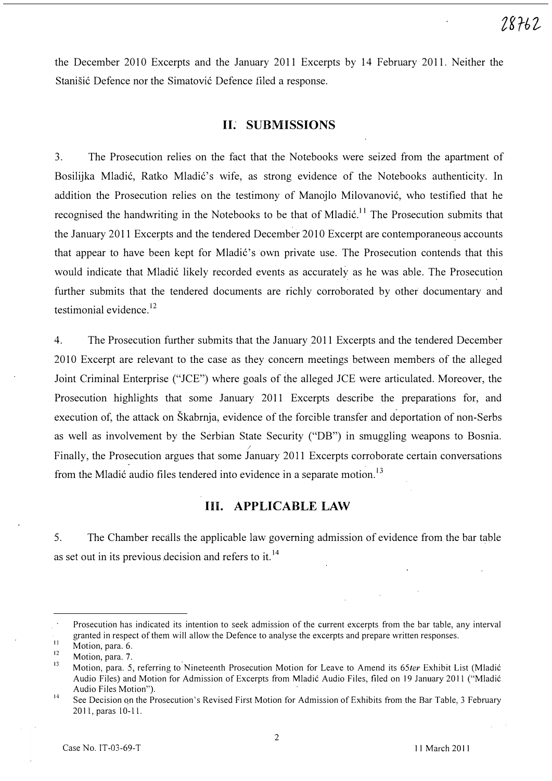the December 2010 Excerpts and the January 2011 Excerpts by 14 February 2011. Neither the Stanišić Defence nor the Simatović Defence filed a response.

# II.' SUBMISSIONS

3. The Prosecution relies on the fact that the Notebooks were seized from the apartment of Bosilijka Mladić, Ratko Mladić's wife, as strong evidence of the Notebooks authenticity. In addition the Prosecution relies on the testimony of Manojlo Milovanović, who testified that he recognised the handwriting in the Notebooks to be that of Mladić.<sup>11</sup> The Prosecution submits that the January 2011 Excerpts and the tendered December 2010 Excerpt are contemporaneous accounts that appear to have been kept for Mladić's own private use. The Prosecution contends that this would indicate that Mladić likely recorded events as accurately as he was able. The Prosecution further submits that the tendered documents are richly corroborated by other documentary and testimonial evidence.<sup>12</sup>

4. The Prosecution further submits that the January 2011 Excerpts and the tendered December 2010 Excerpt are relevant to the case as they concern meetings between members of the alleged Joint Criminal Enterprise ("JCE") where goals of the alleged JCE were articulated. Moreover, the Prosecution highlights that some January 2011 Excerpts describe the preparations for, and execution of, the attack on Skabrnja, evidence of the forcible transfer and deportation of non-Serbs as well as involvement by the Serbian State Security ("DB") in smuggling weapons to Bosnia. Finally, the Prosecution argues that some January 2011 Excerpts corroborate certain conversations from the Mladić audio files tendered into evidence in a separate motion.<sup>13</sup>

# In. APPLICABLE LAW

5. The Chamber recalls the applicable law governing admission of evidence from the bar table as set out in its previous decision and refers to it.  $14$ 

Prosecution has indicated its intention to seek admission of the current excerpts from the bar table, any interval granted in respect of them will allow the Defence to analyse the excerpts and prepare written responses.

<sup>11</sup>  Motion, para. 6.

<sup>12</sup>  Motion, para. 7.

<sup>13</sup>  Motion, para. 5, referring to Nineteenth Prosecution Motion for Leave to Amend its 65ter Exhibit List (Mladić Audio Files) and Motion for Admission of Excerpts from Mladic Audio Files, filed on 19 January 2011 ("Mladic Audio Files Motion").

<sup>14</sup>  See Decision on the Prosecution's Revised First Motion for Admission of Exhibits from the Bar Table, 3 February 2011,paras 10-11.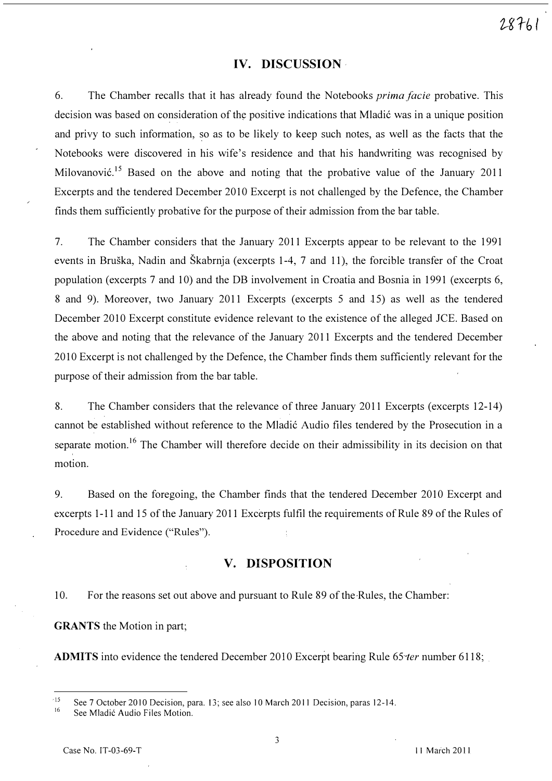# IV. DISCUSSION

6. The Chamber recalls that it has already found the Notebooks prima facie probative. This decision was based on consideration of the positive indications that Mladić was in a unique position and privy to such information, �o as to be likely to keep such notes, as well as the facts that the Notebooks were discovered in his wife's residence and that his handwriting was recognised by Milovanović.<sup>15</sup> Based on the above and noting that the probative value of the January 2011 Excerpts and the tendered December 2010 Excerpt is not challenged by the Defence, the Chamber finds them sufficiently probative for the purpose of their admission from the bar table.

7. The Chamber considers that the January 2011 Excerpts appear to be relevant to the 1991 events in Bruska, Nadin and Skabrnja (excerpts 1-4, 7 and 11), the forcible transfer of the Croat population (excerpts 7 and 10) and the DB involvement in Croatia and Bosnia in 1991 (excerpts 6, 8 and 9). Moreover, two January 2011 Excerpts (excerpts 5 and 15) as well as the tendered December 2010 Excerpt constitute evidence relevant to the existence of the alleged JCE. Based on the above and noting that the relevance of the January 2011 Excerpts and the tendered December 2010 Excerpt is not challenged by the Defence, the Chamber finds them sufficiently relevant for the purpose of their admission from the bar table.

8. The Chamber considers that the relevance of three January 2011 Excerpts (excerpts 12-14) cannot be established without reference to the Mladić Audio files tendered by the Prosecution in a separate motion.<sup>16</sup> The Chamber will therefore decide on their admissibility in its decision on that motion.

9. Based on the foregoing, the Chamber finds that the tendered December 2010 Excerpt and excerpts 1-11 and 15 of the January 2011 Excerpts fulfil the requirements of Rule 89 of the Rules of Procedure and Evidence ("Rules").

# V. DISPOSITION

10. For the reasons set out above and pursuant to Rule 89 of the Rules, the Chamber:

GRANTS the Motion in part;

ADMITS into evidence the tendered December 2010 Excerpt bearing Rule  $65$  ter number 6118;

 $-15$ See 7 October 2010 Decision, para. 13; see also 10 March 2011 Decision, paras 12-14.

<sup>16</sup>  See Mladic Audio Files Motion.